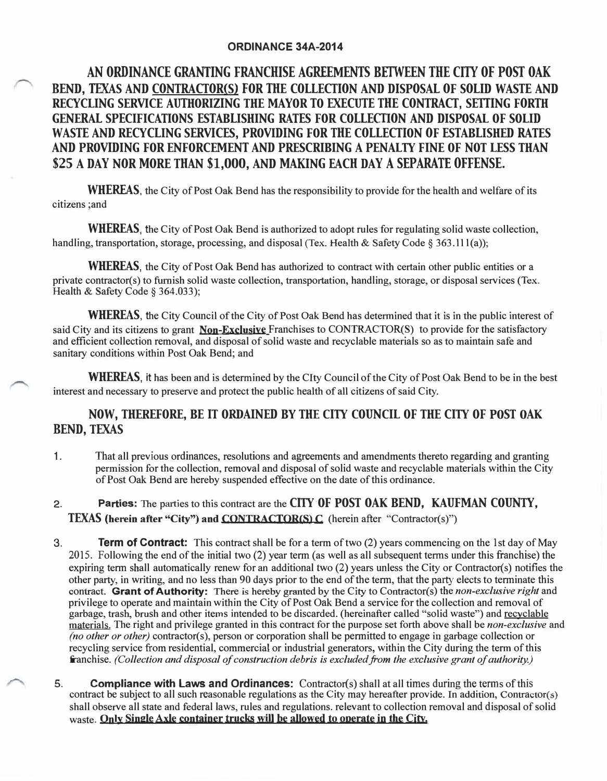### **ORDINANCE 34A-2014**

# **AN ORDINANCE GRANTING FRANCHISE AGREEMENTS BEIWEEN THE CITY OF POST OAK BEND, TEXAS AND CONTRACTOR(S) FOR THE COLLECTION AND DISPOSAL OF SOLID WASTE AND RECYCLING SERVICE AUTHORIZING THE MAYOR TO EXECUTE THE CONTRACT, SEITING FORTH GENERAL SPECIFICATIONS ESTABLISHING RATES FOR COLLECTION AND DISPOSAL OF SOLID WASTE AND RECYCLING SERVICES, PROVIDING FOR THE COLLECTION OF ESTABLISHED RATES AND PROVIDING FOR ENFORCEMENT AND PRESCRIBING A PENALTY FINE OF NOT LESS THAN \$25 A DAY NOR MORE THAN \$1,000, AND MAKING EACH DAY A SEPARATE OFFENSE.**

**WHEREAS,** the City of Post Oak Bend has the responsibility to provide for the health and welfare of its citizens ;and

**WHEREAS,** the City of Post Oak Bend is authorized to adopt rules for regulating solid waste collection, handling, transportation, storage, processing, and disposal (Tex. Health & Safety Code § 363.111(a));

**WHEREAS**, the City of Post Oak Bend has authorized to contract with certain other public entities or a private contractor(s) to furnish solid waste collection, transportation, handling, storage, or disposal services (Tex. Health & Safety Code § 364.033);

**WHEREAS,** the City Council of the City of Post Oak Bend has determined that it is in the public interest of said City and its citizens to grant **Non-Exclusive** Franchises to CONTRACTOR(S) to provide for the satisfactory and efficient collection removal, and disposal of solid waste and recyclable materials so as to maintain safe and sanitary conditions within Post Oak Bend; and

**WHEREAS,** it has been and is determined by the Clty Council of the City of Post Oak Bend to be in the best interest and necessary to preserve and protect the public health of all citizens of said City.

## **NOW, THEREFORE, BE IT ORDAINED BY THE CITY COUNCIL OF THE CITY OF POST OAK BEND, TEXAS**

- **1** . That all previous ordinances, resolutions and agreements and amendments thereto regarding and granting permission for the collection, removal and disposal of solid waste and recyclable materials within the City of Post Oak Bend are hereby suspended effective on the date of this ordinance.
- 2. **Parties:** The parties to this contract are the **CITY OF POST OAK BEND, KAUFMAN COUNTY, TEXAS (herein after "City") and** CONTRACTOR(S) **C** (herein after "Contractor(s)")
- 3. **Term of Contract:** This contract shall be for a term of two (2) years commencing on the 1st day of May 2015. Following the end of the initial two (2) year term (as well as all subsequent terms under this franchise) the expiring term shall automatically renew for an additional two (2) years unless the City or Contractor(s) notifies the other party, in writing, and no less than 90 days prior to the end of the term, that the party elects to terminate this contract. **Grant of Authority:** There is hereby granted by the City to Contractor(s) the *non-exclusive right* and privilege to operate and maintain within the City of Post Oak Bend a service for the collection and removal of garbage, trash, brush and other items intended to be discarded. (hereinafter called "solid waste") and recyclable materials. The right and privilege granted in this contract for the purpose set forth above shall be *non-exclusive* and *(no other or other)* contractor(s), person or corporation shall be permitted to engage in garbage collection or recycling service from residential, commercial or industrial generators, within the City during the term of this franchise. *(Collection and disposal of construction debris is excluded from the exclusive grant of authority.)*
- **5. Compliance with Laws and Ordinances:** Contractor(s) shall at all times during the terms of this contract be subject to all such reasonable regulations as the City may hereafter provide. In addition, Contractor(s) shall observe all state and federal laws, rules and regulations. relevant to collection removal and disposal of solid waste. **Only Single Axle container trucks win he allowed** to **operate in the City.**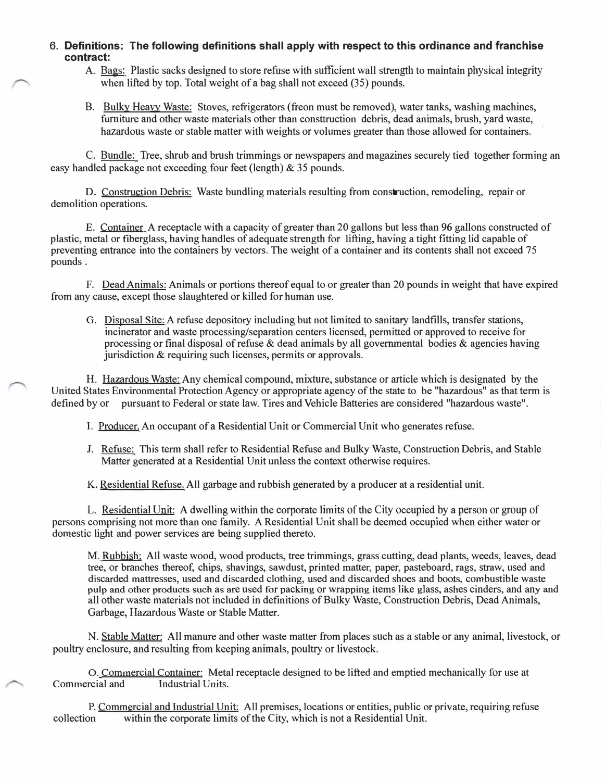**6. Definitions: The following definitions shall apply with respect to this ordinance and franchise contract:**

- A. Bags: Plastic sacks designed to store refuse with sufficient wall strength to maintain physical integrity when lifted by top. Total weight of a bag shall not exceed (35) pounds.
- B. Bulky Heavy Waste: Stoves, refrigerators (freon must be removed), water tanks, washing machines, furniture and other waste materials other than consttruction debris, dead animals, brush, yard waste, hazardous waste or stable matter with weights or volumes greater than those allowed for containers.

C. Bundle: Tree, shrub and brush trimmings or newspapers and magazines securely tied together forming an easy handled package not exceeding four feet (length) & 35 pounds.

D. Construction Debris: Waste bundling materials resulting from construction, remodeling, repair or demolition operations.

E. Container A receptacle with a capacity of greater than 20 gallons but less than 96 gallons constructed of plastic, metal or fiberglass, having handles of adequate strength for lifting, having a tight fitting lid capable of preventing entrance into the containers by vectors. The weight of a container and its contents shall not exceed 7 5 pounds .

F. Dead Animals: Animals or portions thereof equal to or greater than 20 pounds in weight that have expired from any cause, except those slaughtered or killed for human use.

G. Disposal Site: A refuse depository including but not limited to sanitary landfills, transfer stations, incinerator and waste processing/separation centers licensed, permitted or approved to receive for processing or final disposal of refuse  $\&$  dead animals by all governmental bodies  $\&$  agencies having jurisdiction & requiring such licenses, permits or approvals.

H. Hazardous Waste: Any chemical compound, mixture, substance or article which is designated by the United States Environmental Protection Agency or appropriate agency of the state to be "hazardous" as that term is defined by or pursuant to Federal or state law. Tires and Vehicle Batteries are considered "hazardous waste".

I. Producer. An occupant of a Residential Unit or Commercial Unit who generates refuse.

J. Refuse: This term shall refer to Residential Refuse and Bulky Waste, Construction Debris, and Stable Matter generated at a Residential Unit unless the context otherwise requires.

K. Residential Refuse. All garbage and rubbish generated by a producer at a residential unit.

L. Residential Unit: A dwelling within the corporate limits of the City occupied by a person or group of persons comprising not more than one family. A Residential Unit shall be deemed occupied when either water or domestic light and power services are being supplied thereto.

M. Rubbish; All waste wood, wood products, tree trimmings, grass cutting, dead plants, weeds, leaves, dead tree, or branches thereof, chips, shavings, sawdust, printed matter, paper, pasteboard, rags, straw, used and discarded mattresses, used and discarded clothing, used and discarded shoes and boots, combustible waste pulp and other products such as are used for packing or wrapping items like glass, ashes cinders, and any and all other waste materials not included in definitions of Bulky Waste, Construction Debris, Dead Animals, Garbage, Hazardous Waste or Stable Matter.

N. Stable Matter: All manure and other waste matter from places such as a stable or any animal, livestock, or poultry enclosure, and resulting from keeping animals, poultry or livestock.

0. Commercial Container: Metal receptacle designed to be lifted and emptied mechanically for use at reial and<br>relation Industrial Units. Commercial and

P. Commercial and Industrial Unit: All premises, locations or entities, public or private, requiring refuse collection within the corporate limits of the City, which is not a Residential Unit. within the corporate limits of the City, which is not a Residential Unit.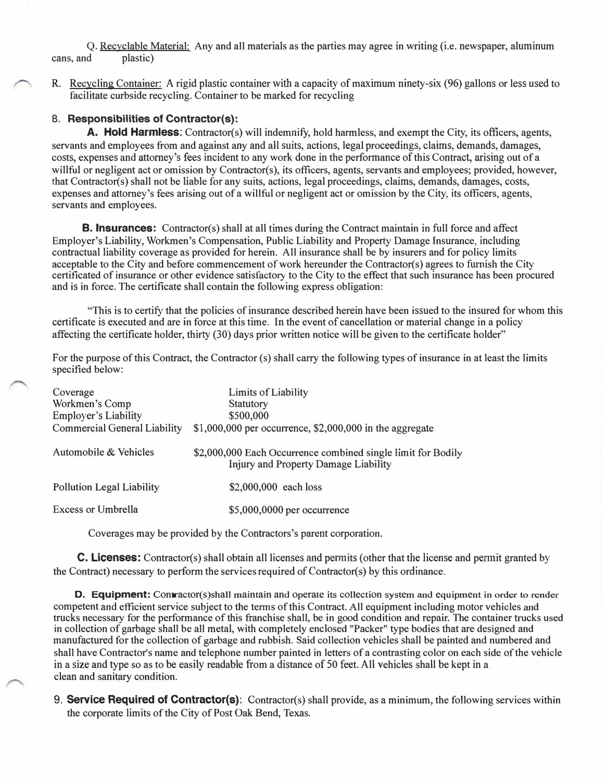Q. Recyclable Material: Any and all materials as the parties may agree in writing (i.e. newspaper, aluminum cans, and plastic)

R. Recycling Container: A rigid plastic container with a capacity of maximum ninety-six (96) gallons or less used to facilitate curbside recycling. Container to be marked for recycling

#### **8. Responsibilities of Contractor(s):**

**A. Hold Harmless:** Contractor(s) will indemnify, hold harmless, and exempt the City, its officers, agents, servants and employees from and against any and all suits, actions, legal proceedings, claims, demands, damages, costs, expenses and attorney's fees incident to any work done in the performance of this Contract, arising out of a willful or negligent act or omission by Contractor(s), its officers, agents, servants and employees; provided, however, that Contractor(s) shall not be liable for any suits, actions, legal proceedings, claims, demands, damages, costs, expenses and attorney's fees arising out of a willful or negligent act or omission by the City, its officers, agents, servants and employees.

**B. Insurances:** Contractor(s) shall at all times during the Contract maintain in full force and affect Employer's Liability, Workmen's Compensation, Public Liability and Property Damage Insurance, including contractual liability coverage as provided for herein. All insurance shall be by insurers and for policy limits acceptable to the City and before commencement of work hereunder the Contractor(s) agrees to furnish the City certificated of insurance or other evidence satisfactory to the City to the effect that such insurance has been procured and is in force. The certificate shall contain the following express obligation:

"This is to certify that the policies of insurance described herein have been issued to the insured for whom this certificate is executed and are in force at this time. In the event of cancellation or material change in a policy affecting the certificate holder, thirty (30) days prior written notice will be given to the certificate holder"

For the purpose of this Contract, the Contractor (s) shall carry the following types of insurance in at least the limits specified below:

| Coverage<br>Workmen's Comp<br><b>Employer's Liability</b><br><b>Commercial General Liability</b> | Limits of Liability<br><b>Statutory</b><br>\$500,000<br>$$1,000,000$ per occurrence, $$2,000,000$ in the aggregate |
|--------------------------------------------------------------------------------------------------|--------------------------------------------------------------------------------------------------------------------|
| Automobile & Vehicles                                                                            | \$2,000,000 Each Occurrence combined single limit for Bodily<br>Injury and Property Damage Liability               |
| <b>Pollution Legal Liability</b>                                                                 | \$2,000,000 each loss                                                                                              |
| Excess or Umbrella                                                                               | \$5,000,0000 per occurrence                                                                                        |

Coverages may be provided by the Contractors's parent corporation.

C. **Licenses:** Contractor(s) shall obtain all licenses and permits (other that the license and pennit granted by the Contract) necessary to perform the services required of Contractor(s) by this ordinance.

**D. Equipment:** Contractor(s)shall maintain and operate its collection system and equipment in order to render competent and efficient service subject to the terms of this Contract. All equipment including motor vehicles and trucks necessary for the performance of this franchise shall, be in good condition and repair. The container trucks used in collection of garbage shall be all metal, with completely enclosed "Packer" type bodies that are designed and manufactured for the collection of garbage and rubbish. Said collection vehicles shall be painted and numbered and shall have Contractor's name and telephone number painted in letters of a contrasting color on each side of the vehicle in a size and type so as to be easily readable from a distance of 50 feet. All vehicles shall be kept in a clean and sanitary condition.

9. **Service Required of Contractor(s):** Contractor(s) shall provide, as a minimum, the following services within the corporate limits of the City of Post Oak Bend, Texas.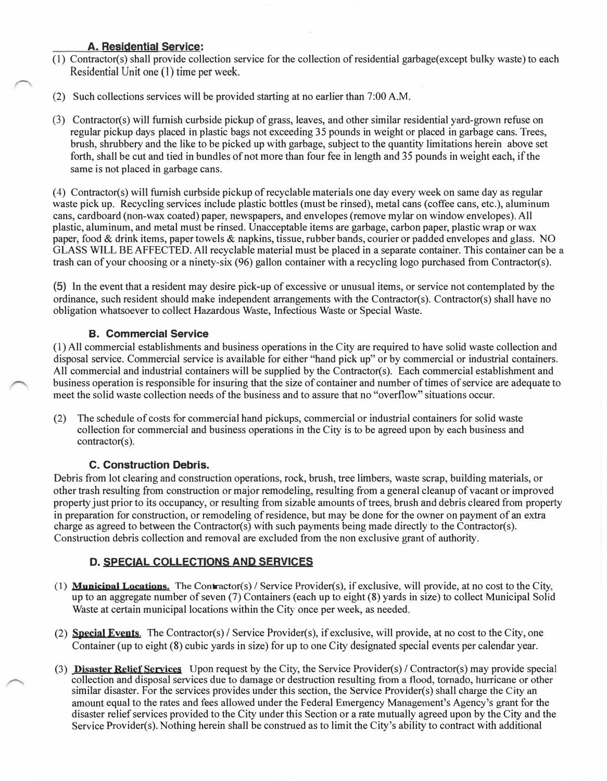### **A. Residential Service:**

- (1) Contractor(s) shall provide collection service for the collection ofresidential garbage(except bulky waste) to each Residential Unit one (1) time per week.
- (2) Such collections services will be provided starting at no earlier than 7:00 A.M.
- (3) Contractor(s) will furnish curbside pickup of grass, leaves, and other similar residential yard-grown refuse on regular pickup days placed in plastic bags not exceeding 35 pounds in weight or placed in garbage cans. Trees, brush, shrubbery and the like to be picked up with garbage, subject to the quantity limitations herein above set forth, shall be cut and tied in bundles of not more than four fee in length and 35 pounds in weight each, if the same is not placed in garbage cans.

(4) Contractor(s) will furnish curbside pickup ofrecyclable materials one day every week on same day as regular waste pick up. Recycling services include plastic bottles (must be rinsed), metal cans (coffee cans, etc.), aluminum cans, cardboard (non-wax coated) paper, newspapers, and envelopes (remove mylar on window envelopes). All plastic, aluminum, and metal must be rinsed. Unacceptable items are garbage, carbon paper, plastic wrap or wax paper, food & drink items, paper towels & napkins, tissue, rubber bands, courier or padded envelopes and glass. NO GLASS WILL BE AFFECTED. All recyclable material must be placed in a separate container. This container can be a trash can of your choosing or a ninety-six (96) gallon container with a recycling logo purchased from Contractor(s).

(5) In the event that a resident may desire pick-up of excessive or unusual items, or service not contemplated by the ordinance, such resident should make independent arrangements with the Contractor(s). Contractor(s) shall have no obligation whatsoever to collect Hazardous Waste, Infectious Waste or Special Waste.

### **B. Commercial Service**

(l)All commercial establishments and business operations in the City are required to have solid waste collection and disposal service. Commercial service is available for either "hand pick up" or by commercial or industrial containers. All commercial and industrial containers will be supplied by the Contractor(s). Each commercial establishment and business operation is responsible for insuring that the size of container and number of times of service are adequate to meet the solid waste collection needs of the business and to assure that no "overflow" situations occur.

(2) The schedule of costs for commercial hand pickups, commercial or industrial containers for solid waste collection for commercial and business operations in the City is to be agreed upon by each business and  $contractor(s)$ .

### **C. Construction Debris.**

Debris from lot clearing and construction operations, rock, brush, tree limbers, waste scrap, building materials, or other trash resulting from construction or major remodeling, resulting from a general cleanup of vacant or improved property just prior to its occupancy, or resulting from sizable amounts of trees, brush and debris cleared from property in preparation for construction, or remodeling of residence, but may be done for the owner on payment of an extra charge as agreed to between the Contractor(s) with such payments being made directly to the Contractor(s). Construction debris collection and removal are excluded from the non exclusive grant of authority.

### **D. SPECIAL COLLECTIONS AND SERVICES**

- (1) Municipal Locations. The Contractor(s) / Service Provider(s), if exclusive, will provide, at no cost to the City, up to an aggregate number of seven (7) Containers ( each up to eight (8) yards in size) to collect Municipal Solid Waste at certain municipal locations within the City once per week, as needed.
- (2) **Special Events.** The Contractor(s) / Service Provider(s), if exclusive, will provide, at no cost to the City, one Container (up to eight (8) cubic yards in size) for up to one City designated special events per calendar year.
- (3) Disaster Relief Services Upon request by the City, the Service Provider(s) / Contractor(s) may provide special collection and disposal services due to damage or destruction resulting from a flood, tornado, hurricane or other similar disaster. For the services provides under this section, the Service Provider(s) shall charge the City an amount equal to the rates and fees allowed under the Federal Emergency Management's Agency's grant for the disaster relief services provided to the City under this Section or a rate mutually agreed upon by the City and the Service Provider(s). Nothing herein shall be construed as to limit the City's ability to contract with additional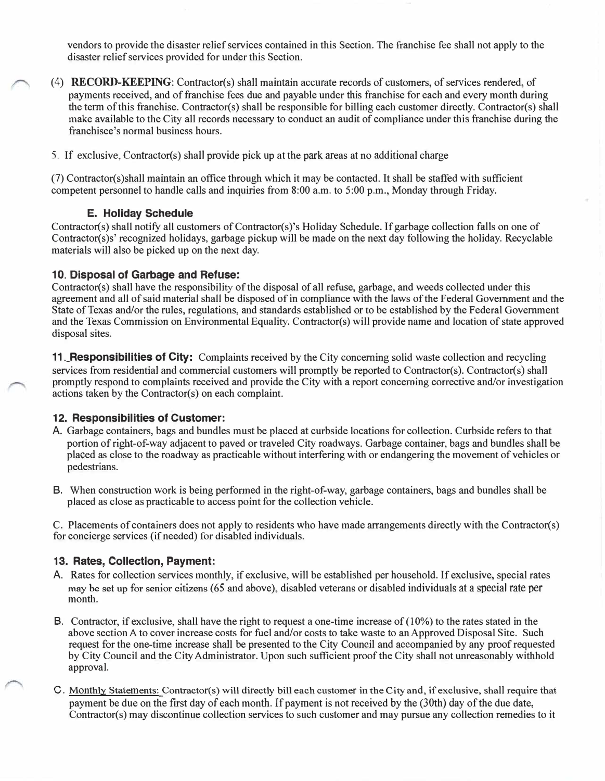vendors to provide the disaster relief services contained in this Section. The franchise fee shall not apply to the disaster relief services provided for under this Section.

- ( 4) **RECORD-KEEPING:** Contractor(s) shall maintain accurate records of customers, of services rendered, of payments received, and of franchise fees due and payable under this franchise for each and every month during the term of this franchise. Contractor(s) shall be responsible for billing each customer directly. Contractor(s) shall make available to the City all records necessary to conduct an audit of compliance under this franchise during the franchisee's normal business hours.
- 5. If exclusive, Contractor(s) shall provide pick up at the park areas at no additional charge

(7) Contractor(s)shall maintain an office through which it may be contacted. It shall be staffed with sufficient competent personnel to handle calls and inquiries from 8:00 a.m. to 5:00 p.m., Monday through Friday.

#### **E. Holiday Schedule**

Contractor(s) shall notify all customers of Contractor(s)'s Holiday Schedule. If garbage collection falls on one of Contractor(s)s' recognized holidays, garbage pickup will be made on the next day following the holiday. Recyclable materials will also be picked up on the next day.

#### **10. Disposal of Garbage and Refuse:**

Contractor(s) shall have the responsibility of the disposal of all refuse, garbage, and weeds collected under this agreement and all of said material shall be disposed of in compliance with the laws of the Federal Government and the State of Texas and/or the rules, regulations, and standards established or to be established by the Federal Government and the Texas Commission on Environmental Equality. Contractor(s) will provide name and location of state approved disposal sites.

**11.\_Responsibilities of City:** Complaints received by the City concerning solid waste collection and recycling services from residential and commercial customers will promptly be reported to Contractor(s). Contractor(s) shall promptly respond to complaints received and provide the City with a report concerning corrective and/or investigation actions taken by the Contractor(s) on each complaint.

#### **12. Responsibilities of Customer:**

- A. Garbage containers, bags and bundles must be placed at curbside locations for collection. Curbside refers to that portion of right-of-way adjacent to paved or traveled City roadways. Garbage container, bags and bundles shall be placed as close to the roadway as practicable without interfering with or endangering the movement of vehicles or pedestrians.
- B. When construction work is being performed in the right-of-way, garbage containers, bags and bundles shall be placed as close as practicable to access point for the collection vehicle.

C. Placements of containers does not apply to residents who have made arrangements directly with the Contractor(s) for concierge services (if needed) for disabled individuals.

#### **13. Rates, Collection, Payment:**

- A. Rates for collection services monthly, if exclusive, will be established per household. If exclusive, special rates may be set up for senior citizens (65 and above), disabled veterans or disabled individuals at a special rate per month.
- 8. Contractor, if exclusive, shall have the right to request a one-time increase of **(10%)** to the rates stated in the above section A to cover increase costs for fuel and/or costs to take waste to an Approved Disposal Site. Such request for the one-time increase shall be presented to the City Council and accompanied by any proof requested by City Council and the City Administrator. Upon such sufficient proof the City shall not unreasonably withhold approval.
- C. Monthly Statements: Contractor(s) will directly bill each customer in the City and, **if** exclusive, shall require **that** payment be due on the first day of each month. If payment is not received by the (30th) day of the due date, Contractor(s) may discontinue collection services to such customer and may pursue any collection remedies to it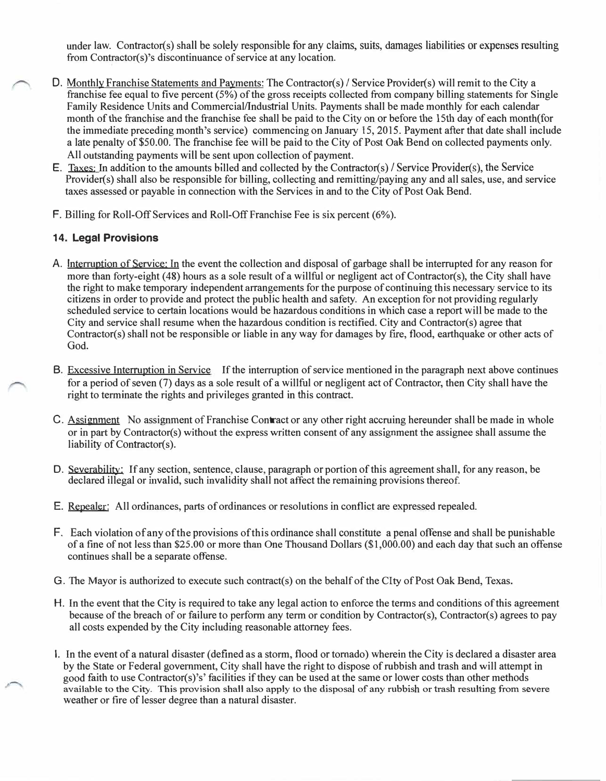under law. Contractor(s) shall be solely responsible for any claims, suits, damages liabilities or expenses resulting from Contractor(s)'s discontinuance of service at any location.

- **D.** Monthly Franchise Statements and Payments: The Contractor(s) *I* Service Provider(s) will remit to the City a franchise fee equal to five percent (5%) of the gross receipts collected from company billing statements for Single Family Residence Units and Commercial/Industrial Units. Payments shall be made monthly for each calendar month of the franchise and the franchise fee shall be paid to the City on or before the 15th day of each month( for the immediate preceding month's service) commencing on January 15, 2015. Payment after that date shall include a late penalty of \$50.00. The franchise fee will be paid to the City of Post Oak Bend on collected payments only. All outstanding payments will be sent upon collection of payment.
	- E. Taxes: In addition to the amounts billed and collected by the Contractor(s) / Service Provider(s), the Service Provider(s) shall also be responsible for billing, collecting and remitting/paying any and all sales, use, and service taxes assessed or payable in connection with the Services in and to the City of Post Oak Bend.
	- **F.** Billing for Roll-Off Services and Roll-Off Franchise Fee is six percent (6%).

### **14. Legal Provisions**

- A. Jnterruption of Service: In the event the collection and disposal of garbage shall be interrupted for any reason for more than forty-eight (48) hours as a sole result of a willful or negligent act of Contractor(s), the City shall have the right to make temporary independent arrangements for the purpose of continuing this necessary service to its citizens in order to provide and protect the public health and safety. An exception for not providing regularly scheduled service to certain locations would be hazardous conditions in which case a report will be made to the City and service shall resume when the hazardous condition is rectified. City and Contractor(s) agree that Contractor(s) shall not be responsible or liable in any way for damages by fire, flood, earthquake or other acts of God.
- B. Excessive Interruption in Service If the interruption of service mentioned in the paragraph next above continues for a period of seven (7) days as a sole result of a willful or negligent act of Contractor, then City shall have the right to terminate the rights and privileges granted in this contract.
- C. Assignment No assignment of Franchise Contract or any other right accruing hereunder shall be made in whole or in part by Contractor(s) without the express written consent of any assignment the assignee shall assume the liability of Contractor(s).
- D. Severability: If any section, sentence, clause, paragraph or portion of this agreement shall, for any reason, be declared illegal or invalid, such invalidity shall not affect the remaining provisions thereof.
- E. Repealer: All ordinances, parts of ordinances or resolutions in conflict are expressed repealed.
- F. Each violation of any of the provisions of this ordinance shall constitute a penal offense and shall be punishable of a fine of not less than \$25.00 or more than One Thousand Dollars (\$1,000.00) and each day that such an offense continues shall be a separate offense.
- G. The Mayor is authorized to execute such contract(s) on the behalf of the Clty of Post Oak Bend, Texas.
- H. In the event that the City is required to take any legal action to enforce the terms and conditions of this agreement because of the breach of or failure to perform any term or condition by Contractor(s), Contractor(s) agrees to pay all costs expended by the City including reasonable attorney fees.
- I. In the event of a natural disaster ( defined as a storm, flood or tornado) wherein the City is declared a disaster area by the State or Federal government, City shall have the right to dispose of rubbish and trash and will attempt in good faith to use Contractor(s)'s' facilities if they can be used at the same or lower costs than other methods available to the City. This provision shall also apply to the disposal of any rubbish or trash resulting from severe weather or fire of lesser degree than a natural disaster.